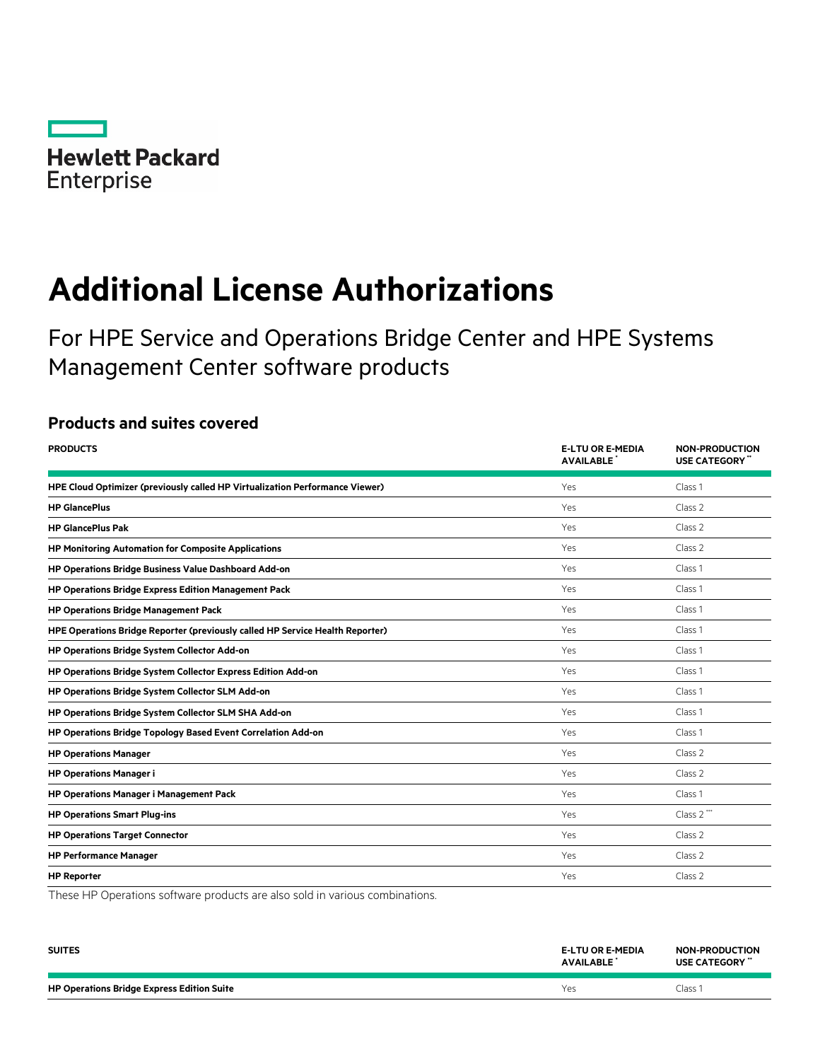

# **Additional License Authorizations**

For HPE Service and Operations Bridge Center and HPE Systems Management Center software products

# **Products and suites covered**

| <b>PRODUCTS</b>                                                               | <b>E-LTU OR E-MEDIA</b><br><b>AVAILABLE</b> | <b>NON-PRODUCTION</b><br>USE CATEGORY" |
|-------------------------------------------------------------------------------|---------------------------------------------|----------------------------------------|
| HPE Cloud Optimizer (previously called HP Virtualization Performance Viewer)  | Yes                                         | Class 1                                |
| <b>HP GlancePlus</b>                                                          | Yes                                         | Class 2                                |
| <b>HP GlancePlus Pak</b>                                                      | Yes                                         | Class 2                                |
| <b>HP Monitoring Automation for Composite Applications</b>                    | Yes                                         | Class 2                                |
| HP Operations Bridge Business Value Dashboard Add-on                          | Yes                                         | Class 1                                |
| <b>HP Operations Bridge Express Edition Management Pack</b>                   | Yes                                         | Class 1                                |
| <b>HP Operations Bridge Management Pack</b>                                   | Yes                                         | Class 1                                |
| HPE Operations Bridge Reporter (previously called HP Service Health Reporter) | Yes                                         | Class 1                                |
| <b>HP Operations Bridge System Collector Add-on</b>                           | Yes                                         | Class 1                                |
| HP Operations Bridge System Collector Express Edition Add-on                  | Yes                                         | Class 1                                |
| HP Operations Bridge System Collector SLM Add-on                              | Yes                                         | Class 1                                |
| HP Operations Bridge System Collector SLM SHA Add-on                          | Yes                                         | Class <sub>1</sub>                     |
| HP Operations Bridge Topology Based Event Correlation Add-on                  | Yes                                         | Class 1                                |
| <b>HP Operations Manager</b>                                                  | Yes                                         | Class 2                                |
| <b>HP Operations Manager i</b>                                                | Yes                                         | Class 2                                |
| <b>HP Operations Manager i Management Pack</b>                                | Yes                                         | Class 1                                |
| <b>HP Operations Smart Plug-ins</b>                                           | Yes                                         | Class 2"                               |
| <b>HP Operations Target Connector</b>                                         | Yes                                         | Class 2                                |
| <b>HP Performance Manager</b>                                                 | Yes                                         | Class 2                                |
| <b>HP Reporter</b>                                                            | Yes                                         | Class 2                                |

These HP Operations software products are also sold in various combinations.

| <b>SUITES</b>                                     | <b>E-LTU OR E-MEDIA</b><br>AVAILABLE <sup>'</sup> | <b>NON-PRODUCTION</b><br>USE CATEGORY " |
|---------------------------------------------------|---------------------------------------------------|-----------------------------------------|
| <b>HP Operations Bridge Express Edition Suite</b> | Yes                                               | Class <sub>1</sub>                      |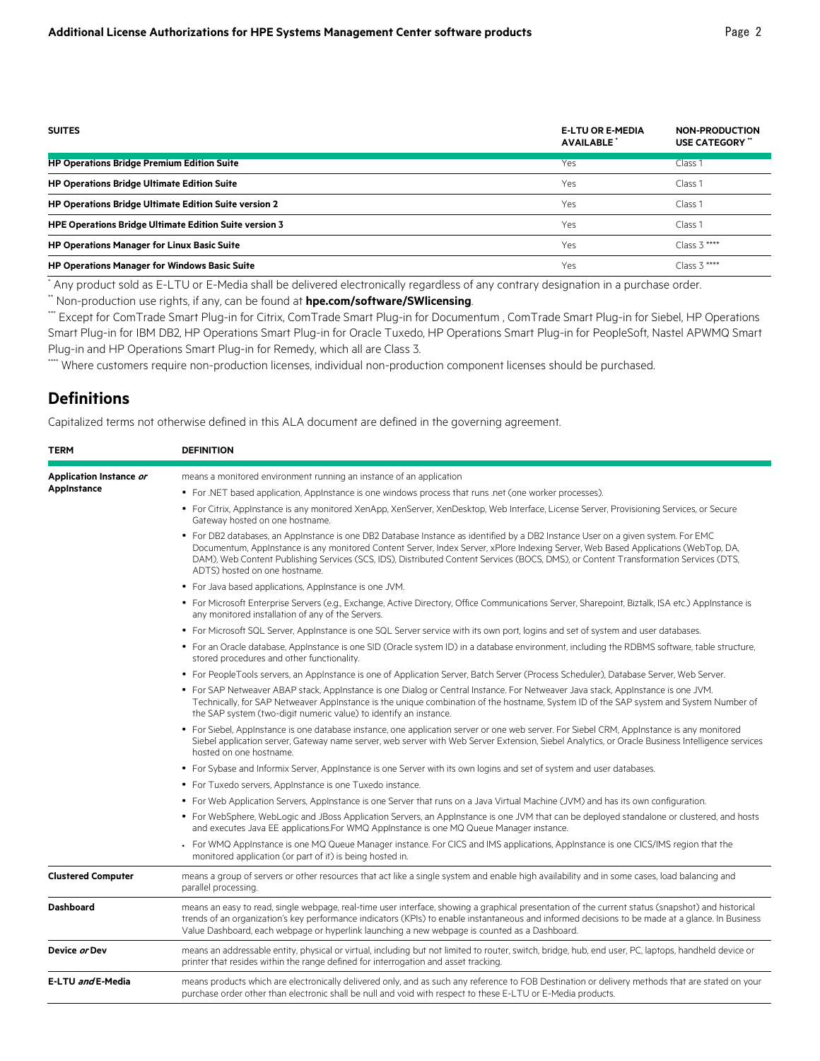| <b>SUITES</b>                                                | <b>E-LTU OR E-MEDIA</b><br><b>AVAILABLE</b> | <b>NON-PRODUCTION</b><br>USE CATEGORY " |
|--------------------------------------------------------------|---------------------------------------------|-----------------------------------------|
| <b>HP Operations Bridge Premium Edition Suite</b>            | Yes                                         | Class 1                                 |
| <b>HP Operations Bridge Ultimate Edition Suite</b>           | Yes                                         | Class <sub>1</sub>                      |
| <b>HP Operations Bridge Ultimate Edition Suite version 2</b> | Yes                                         | Class 1                                 |
| HPE Operations Bridge Ultimate Edition Suite version 3       | Yes                                         | Class <sub>1</sub>                      |
| <b>HP Operations Manager for Linux Basic Suite</b>           | Yes                                         | $Class 3***$                            |
| <b>HP Operations Manager for Windows Basic Suite</b>         | Yes                                         | $Class 3***$                            |

\* Any product sold as E-LTU or E-Media shall be delivered electronically regardless of any contrary designation in a purchase order.

\*\* Non-production use rights, if any, can be found at **[hpe.com/software/SWlicensing](http://www.hpe.com/software/SWlicensing)**.

\*\*\* Except for ComTrade Smart Plug-in for Citrix, ComTrade Smart Plug-in for Documentum , ComTrade Smart Plug-in for Siebel, HP Operations Smart Plug-in for IBM DB2, HP Operations Smart Plug-in for Oracle Tuxedo, HP Operations Smart Plug-in for PeopleSoft, Nastel APWMQ Smart Plug-in and HP Operations Smart Plug-in for Remedy, which all are Class 3.

\*\*\* Where customers require non-production licenses, individual non-production component licenses should be purchased.

## **Definitions**

Capitalized terms not otherwise defined in this ALA document are defined in the governing agreement.

| <b>TERM</b>                                   | <b>DEFINITION</b>                                                                                                                                                                                                                                                                                                                                                                                                                               |
|-----------------------------------------------|-------------------------------------------------------------------------------------------------------------------------------------------------------------------------------------------------------------------------------------------------------------------------------------------------------------------------------------------------------------------------------------------------------------------------------------------------|
| Application Instance or<br><b>Appinstance</b> | means a monitored environment running an instance of an application                                                                                                                                                                                                                                                                                                                                                                             |
|                                               | • For .NET based application, Applnstance is one windows process that runs .net (one worker processes).                                                                                                                                                                                                                                                                                                                                         |
|                                               | • For Citrix, AppInstance is any monitored XenApp, XenServer, XenDesktop, Web Interface, License Server, Provisioning Services, or Secure<br>Gateway hosted on one hostname.                                                                                                                                                                                                                                                                    |
|                                               | • For DB2 databases, an AppInstance is one DB2 Database Instance as identified by a DB2 Instance User on a given system. For EMC<br>Documentum, AppInstance is any monitored Content Server, Index Server, xPlore Indexing Server, Web Based Applications (WebTop, DA,<br>DAM), Web Content Publishing Services (SCS, IDS), Distributed Content Services (BOCS, DMS), or Content Transformation Services (DTS,<br>ADTS) hosted on one hostname. |
|                                               | • For Java based applications, AppInstance is one JVM.                                                                                                                                                                                                                                                                                                                                                                                          |
|                                               | • For Microsoft Enterprise Servers (e.g., Exchange, Active Directory, Office Communications Server, Sharepoint, Biztalk, ISA etc.) Applnstance is<br>any monitored installation of any of the Servers.                                                                                                                                                                                                                                          |
|                                               | • For Microsoft SQL Server, Applnstance is one SQL Server service with its own port, logins and set of system and user databases.                                                                                                                                                                                                                                                                                                               |
|                                               | • For an Oracle database, AppInstance is one SID (Oracle system ID) in a database environment, including the RDBMS software, table structure,<br>stored procedures and other functionality.                                                                                                                                                                                                                                                     |
|                                               | • For PeopleTools servers, an AppInstance is one of Application Server, Batch Server (Process Scheduler), Database Server, Web Server.                                                                                                                                                                                                                                                                                                          |
|                                               | • For SAP Netweaver ABAP stack, Applnstance is one Dialog or Central Instance. For Netweaver Java stack, Applnstance is one JVM.<br>Technically, for SAP Netweaver Applnstance is the unique combination of the hostname, System ID of the SAP system and System Number of<br>the SAP system (two-digit numeric value) to identify an instance.                                                                                                 |
|                                               | • For Siebel, AppInstance is one database instance, one application server or one web server. For Siebel CRM, AppInstance is any monitored<br>Siebel application server, Gateway name server, web server with Web Server Extension, Siebel Analytics, or Oracle Business Intelligence services<br>hosted on one hostname.                                                                                                                       |
|                                               | • For Sybase and Informix Server, Applnstance is one Server with its own logins and set of system and user databases.                                                                                                                                                                                                                                                                                                                           |
|                                               | • For Tuxedo servers, AppInstance is one Tuxedo instance.                                                                                                                                                                                                                                                                                                                                                                                       |
|                                               | • For Web Application Servers, Applnstance is one Server that runs on a Java Virtual Machine (JVM) and has its own configuration.                                                                                                                                                                                                                                                                                                               |
|                                               | • For WebSphere, WebLogic and JBoss Application Servers, an Applnstance is one JVM that can be deployed standalone or clustered, and hosts<br>and executes Java EE applications. For WMQ Applnstance is one MQ Queue Manager instance.                                                                                                                                                                                                          |
|                                               | • For WMQ AppInstance is one MQ Queue Manager instance. For CICS and IMS applications, AppInstance is one CICS/IMS region that the<br>monitored application (or part of it) is being hosted in.                                                                                                                                                                                                                                                 |
| <b>Clustered Computer</b>                     | means a group of servers or other resources that act like a single system and enable high availability and in some cases, load balancing and<br>parallel processing.                                                                                                                                                                                                                                                                            |
| <b>Dashboard</b>                              | means an easy to read, single webpage, real-time user interface, showing a graphical presentation of the current status (snapshot) and historical<br>trends of an organization's key performance indicators (KPIs) to enable instantaneous and informed decisions to be made at a glance. In Business<br>Value Dashboard, each webpage or hyperlink launching a new webpage is counted as a Dashboard.                                          |
| Device or Dev                                 | means an addressable entity, physical or virtual, including but not limited to router, switch, bridge, hub, end user, PC, laptops, handheld device or<br>printer that resides within the range defined for interrogation and asset tracking.                                                                                                                                                                                                    |
| E-LTU and E-Media                             | means products which are electronically delivered only, and as such any reference to FOB Destination or delivery methods that are stated on your<br>purchase order other than electronic shall be null and void with respect to these E-LTU or E-Media products.                                                                                                                                                                                |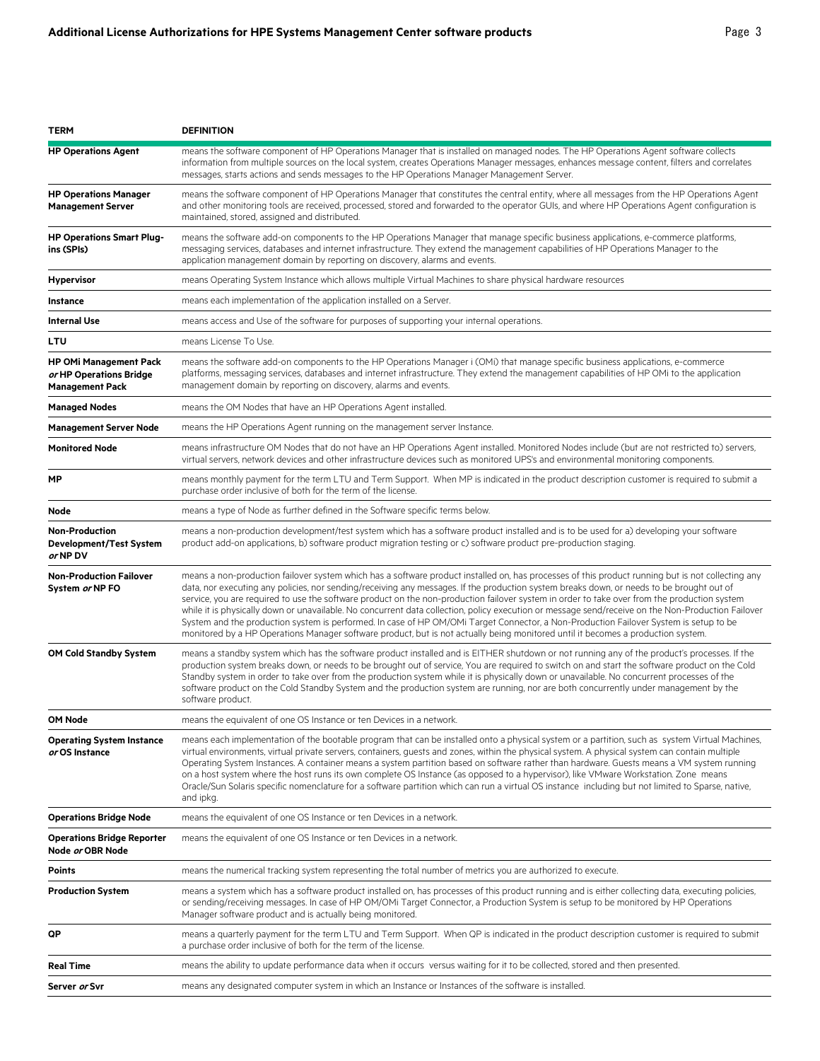| <b>TERM</b>                                                                        | <b>DEFINITION</b>                                                                                                                                                                                                                                                                                                                                                                                                                                                                                                                                                                                                                                                                                                                                                                                                                                                                 |
|------------------------------------------------------------------------------------|-----------------------------------------------------------------------------------------------------------------------------------------------------------------------------------------------------------------------------------------------------------------------------------------------------------------------------------------------------------------------------------------------------------------------------------------------------------------------------------------------------------------------------------------------------------------------------------------------------------------------------------------------------------------------------------------------------------------------------------------------------------------------------------------------------------------------------------------------------------------------------------|
| <b>HP Operations Agent</b>                                                         | means the software component of HP Operations Manager that is installed on managed nodes. The HP Operations Agent software collects<br>information from multiple sources on the local system, creates Operations Manager messages, enhances message content, filters and correlates<br>messages, starts actions and sends messages to the HP Operations Manager Management Server.                                                                                                                                                                                                                                                                                                                                                                                                                                                                                                |
| <b>HP Operations Manager</b><br><b>Management Server</b>                           | means the software component of HP Operations Manager that constitutes the central entity, where all messages from the HP Operations Agent<br>and other monitoring tools are received, processed, stored and forwarded to the operator GUIs, and where HP Operations Agent configuration is<br>maintained, stored, assigned and distributed.                                                                                                                                                                                                                                                                                                                                                                                                                                                                                                                                      |
| <b>HP Operations Smart Plug-</b><br>ins (SPIs)                                     | means the software add-on components to the HP Operations Manager that manage specific business applications, e-commerce platforms,<br>messaging services, databases and internet infrastructure. They extend the management capabilities of HP Operations Manager to the<br>application management domain by reporting on discovery, alarms and events.                                                                                                                                                                                                                                                                                                                                                                                                                                                                                                                          |
| <b>Hypervisor</b>                                                                  | means Operating System Instance which allows multiple Virtual Machines to share physical hardware resources                                                                                                                                                                                                                                                                                                                                                                                                                                                                                                                                                                                                                                                                                                                                                                       |
| Instance                                                                           | means each implementation of the application installed on a Server.                                                                                                                                                                                                                                                                                                                                                                                                                                                                                                                                                                                                                                                                                                                                                                                                               |
| <b>Internal Use</b>                                                                | means access and Use of the software for purposes of supporting your internal operations.                                                                                                                                                                                                                                                                                                                                                                                                                                                                                                                                                                                                                                                                                                                                                                                         |
| LTU                                                                                | means License To Use.                                                                                                                                                                                                                                                                                                                                                                                                                                                                                                                                                                                                                                                                                                                                                                                                                                                             |
| <b>HP OMi Management Pack</b><br>or HP Operations Bridge<br><b>Management Pack</b> | means the software add-on components to the HP Operations Manager i (OMi) that manage specific business applications, e-commerce<br>platforms, messaging services, databases and internet infrastructure. They extend the management capabilities of HP OMi to the application<br>management domain by reporting on discovery, alarms and events.                                                                                                                                                                                                                                                                                                                                                                                                                                                                                                                                 |
| <b>Managed Nodes</b>                                                               | means the OM Nodes that have an HP Operations Agent installed.                                                                                                                                                                                                                                                                                                                                                                                                                                                                                                                                                                                                                                                                                                                                                                                                                    |
| <b>Management Server Node</b>                                                      | means the HP Operations Agent running on the management server Instance.                                                                                                                                                                                                                                                                                                                                                                                                                                                                                                                                                                                                                                                                                                                                                                                                          |
| <b>Monitored Node</b>                                                              | means infrastructure OM Nodes that do not have an HP Operations Agent installed. Monitored Nodes include (but are not restricted to) servers,<br>virtual servers, network devices and other infrastructure devices such as monitored UPS's and environmental monitoring components.                                                                                                                                                                                                                                                                                                                                                                                                                                                                                                                                                                                               |
| <b>MP</b>                                                                          | means monthly payment for the term LTU and Term Support. When MP is indicated in the product description customer is required to submit a<br>purchase order inclusive of both for the term of the license.                                                                                                                                                                                                                                                                                                                                                                                                                                                                                                                                                                                                                                                                        |
| Node                                                                               | means a type of Node as further defined in the Software specific terms below.                                                                                                                                                                                                                                                                                                                                                                                                                                                                                                                                                                                                                                                                                                                                                                                                     |
| <b>Non-Production</b><br><b>Development/Test System</b><br>or NP DV                | means a non-production development/test system which has a software product installed and is to be used for a) developing your software<br>product add-on applications, b) software product migration testing or c) software product pre-production staging.                                                                                                                                                                                                                                                                                                                                                                                                                                                                                                                                                                                                                      |
| <b>Non-Production Failover</b><br>System or NP FO                                  | means a non-production failover system which has a software product installed on, has processes of this product running but is not collecting any<br>data, nor executing any policies, nor sending/receiving any messages. If the production system breaks down, or needs to be brought out of<br>service, you are required to use the software product on the non-production failover system in order to take over from the production system<br>while it is physically down or unavailable. No concurrent data collection, policy execution or message send/receive on the Non-Production Failover<br>System and the production system is performed. In case of HP OM/OMi Target Connector, a Non-Production Failover System is setup to be<br>monitored by a HP Operations Manager software product, but is not actually being monitored until it becomes a production system. |
| <b>OM Cold Standby System</b>                                                      | means a standby system which has the software product installed and is EITHER shutdown or not running any of the product's processes. If the<br>production system breaks down, or needs to be brought out of service, You are required to switch on and start the software product on the Cold<br>Standby system in order to take over from the production system while it is physically down or unavailable. No concurrent processes of the<br>software product on the Cold Standby System and the production system are running, nor are both concurrently under management by the<br>software product.                                                                                                                                                                                                                                                                         |
| OM Node                                                                            | means the equivalent of one OS Instance or ten Devices in a network.                                                                                                                                                                                                                                                                                                                                                                                                                                                                                                                                                                                                                                                                                                                                                                                                              |
| <b>Operating System Instance</b><br>or OS Instance                                 | means each implementation of the bootable program that can be installed onto a physical system or a partition, such as system Virtual Machines,<br>virtual environments, virtual private servers, containers, quests and zones, within the physical system. A physical system can contain multiple<br>Operating System Instances. A container means a system partition based on software rather than hardware. Guests means a VM system running<br>on a host system where the host runs its own complete OS Instance (as opposed to a hypervisor), like VMware Workstation. Zone means<br>Oracle/Sun Solaris specific nomenclature for a software partition which can run a virtual OS instance including but not limited to Sparse, native,<br>and ipkg.                                                                                                                         |
| <b>Operations Bridge Node</b>                                                      | means the equivalent of one OS Instance or ten Devices in a network.                                                                                                                                                                                                                                                                                                                                                                                                                                                                                                                                                                                                                                                                                                                                                                                                              |
| <b>Operations Bridge Reporter</b><br>Node or OBR Node                              | means the equivalent of one OS Instance or ten Devices in a network.                                                                                                                                                                                                                                                                                                                                                                                                                                                                                                                                                                                                                                                                                                                                                                                                              |
| Points                                                                             | means the numerical tracking system representing the total number of metrics you are authorized to execute.                                                                                                                                                                                                                                                                                                                                                                                                                                                                                                                                                                                                                                                                                                                                                                       |
| <b>Production System</b>                                                           | means a system which has a software product installed on, has processes of this product running and is either collecting data, executing policies,<br>or sending/receiving messages. In case of HP OM/OMi Target Connector, a Production System is setup to be monitored by HP Operations<br>Manager software product and is actually being monitored.                                                                                                                                                                                                                                                                                                                                                                                                                                                                                                                            |
| QP                                                                                 | means a quarterly payment for the term LTU and Term Support. When QP is indicated in the product description customer is required to submit<br>a purchase order inclusive of both for the term of the license.                                                                                                                                                                                                                                                                                                                                                                                                                                                                                                                                                                                                                                                                    |
| <b>Real Time</b>                                                                   | means the ability to update performance data when it occurs versus waiting for it to be collected, stored and then presented.                                                                                                                                                                                                                                                                                                                                                                                                                                                                                                                                                                                                                                                                                                                                                     |
| Server or Svr                                                                      | means any designated computer system in which an Instance or Instances of the software is installed.                                                                                                                                                                                                                                                                                                                                                                                                                                                                                                                                                                                                                                                                                                                                                                              |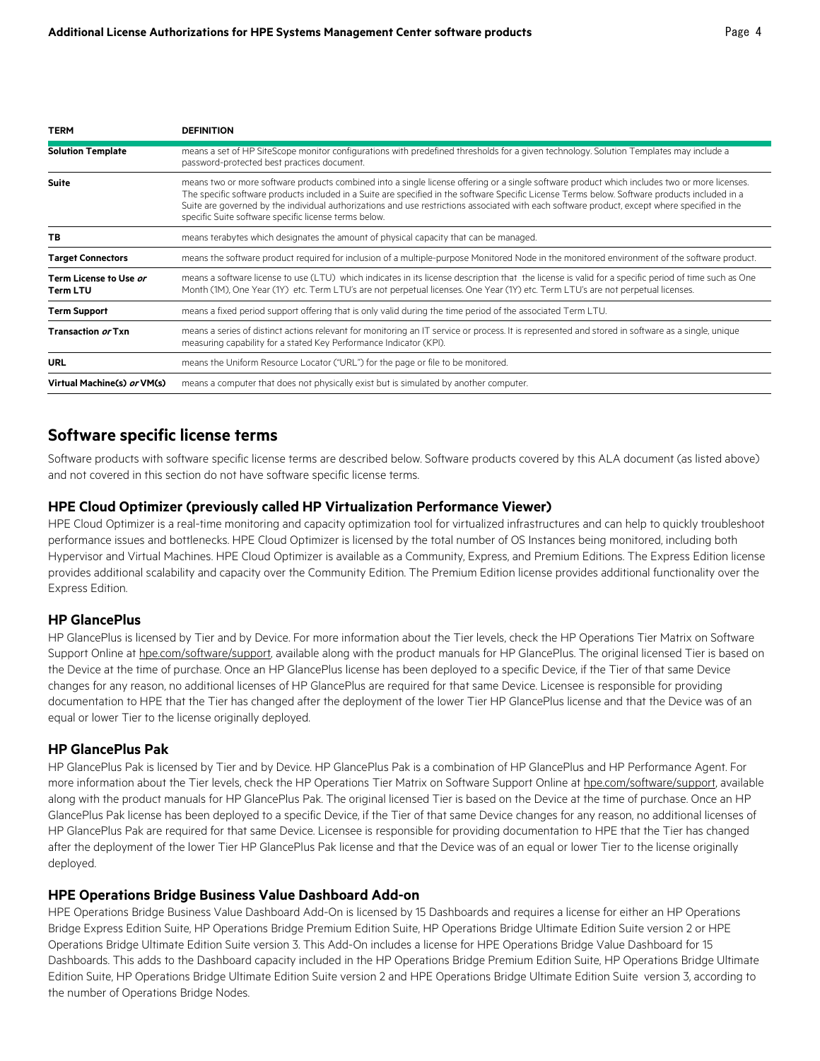| <b>TERM</b>                               | <b>DEFINITION</b>                                                                                                                                                                                                                                                                                                                                                                                                                                                                                         |
|-------------------------------------------|-----------------------------------------------------------------------------------------------------------------------------------------------------------------------------------------------------------------------------------------------------------------------------------------------------------------------------------------------------------------------------------------------------------------------------------------------------------------------------------------------------------|
| <b>Solution Template</b>                  | means a set of HP SiteScope monitor configurations with predefined thresholds for a given technology. Solution Templates may include a<br>password-protected best practices document.                                                                                                                                                                                                                                                                                                                     |
| Suite                                     | means two or more software products combined into a single license offering or a single software product which includes two or more licenses.<br>The specific software products included in a Suite are specified in the software Specific License Terms below. Software products included in a<br>Suite are governed by the individual authorizations and use restrictions associated with each software product, except where specified in the<br>specific Suite software specific license terms below. |
| ТB                                        | means terabytes which designates the amount of physical capacity that can be managed.                                                                                                                                                                                                                                                                                                                                                                                                                     |
| <b>Target Connectors</b>                  | means the software product required for inclusion of a multiple-purpose Monitored Node in the monitored environment of the software product.                                                                                                                                                                                                                                                                                                                                                              |
| Term License to Use <i>or</i><br>Term LTU | means a software license to use (LTU) which indicates in its license description that the license is valid for a specific period of time such as One<br>Month (1M), One Year (1Y) etc. Term LTU's are not perpetual licenses. One Year (1Y) etc. Term LTU's are not perpetual licenses.                                                                                                                                                                                                                   |
| Term Support                              | means a fixed period support offering that is only valid during the time period of the associated Term LTU.                                                                                                                                                                                                                                                                                                                                                                                               |
| Transaction or Txn                        | means a series of distinct actions relevant for monitoring an IT service or process. It is represented and stored in software as a single, unique<br>measuring capability for a stated Key Performance Indicator (KPI).                                                                                                                                                                                                                                                                                   |
| <b>URL</b>                                | means the Uniform Resource Locator ("URL") for the page or file to be monitored.                                                                                                                                                                                                                                                                                                                                                                                                                          |
| Virtual Machine(s) or VM(s)               | means a computer that does not physically exist but is simulated by another computer.                                                                                                                                                                                                                                                                                                                                                                                                                     |
|                                           |                                                                                                                                                                                                                                                                                                                                                                                                                                                                                                           |

## **Software specific license terms**

Software products with software specific license terms are described below. Software products covered by this ALA document (as listed above) and not covered in this section do not have software specific license terms.

#### **HPE Cloud Optimizer (previously called HP Virtualization Performance Viewer)**

HPE Cloud Optimizer is a real-time monitoring and capacity optimization tool for virtualized infrastructures and can help to quickly troubleshoot performance issues and bottlenecks. HPE Cloud Optimizer is licensed by the total number of OS Instances being monitored, including both Hypervisor and Virtual Machines. HPE Cloud Optimizer is available as a Community, Express, and Premium Editions. The Express Edition license provides additional scalability and capacity over the Community Edition. The Premium Edition license provides additional functionality over the Express Edition.

## **HP GlancePlus**

HP GlancePlus is licensed by Tier and by Device. For more information about the Tier levels, check the HP Operations Tier Matrix on Software Support Online at [hpe.com/software/support,](http://www.hpe.com/software/support) available along with the product manuals for HP GlancePlus. The original licensed Tier is based on the Device at the time of purchase. Once an HP GlancePlus license has been deployed to a specific Device, if the Tier of that same Device changes for any reason, no additional licenses of HP GlancePlus are required for that same Device. Licensee is responsible for providing documentation to HPE that the Tier has changed after the deployment of the lower Tier HP GlancePlus license and that the Device was of an equal or lower Tier to the license originally deployed.

#### **HP GlancePlus Pak**

HP GlancePlus Pak is licensed by Tier and by Device. HP GlancePlus Pak is a combination of HP GlancePlus and HP Performance Agent. For more information about the Tier levels, check the HP Operations Tier Matrix on Software Support Online at [hpe.com/software/support,](http://www.hpe.com/software/support) available along with the product manuals for HP GlancePlus Pak. The original licensed Tier is based on the Device at the time of purchase. Once an HP GlancePlus Pak license has been deployed to a specific Device, if the Tier of that same Device changes for any reason, no additional licenses of HP GlancePlus Pak are required for that same Device. Licensee is responsible for providing documentation to HPE that the Tier has changed after the deployment of the lower Tier HP GlancePlus Pak license and that the Device was of an equal or lower Tier to the license originally deployed.

## **HPE Operations Bridge Business Value Dashboard Add-on**

HPE Operations Bridge Business Value Dashboard Add-On is licensed by 15 Dashboards and requires a license for either an HP Operations Bridge Express Edition Suite, HP Operations Bridge Premium Edition Suite, HP Operations Bridge Ultimate Edition Suite version 2 or HPE Operations Bridge Ultimate Edition Suite version 3. This Add-On includes a license for HPE Operations Bridge Value Dashboard for 15 Dashboards. This adds to the Dashboard capacity included in the HP Operations Bridge Premium Edition Suite, HP Operations Bridge Ultimate Edition Suite, HP Operations Bridge Ultimate Edition Suite version 2 and HPE Operations Bridge Ultimate Edition Suite version 3, according to the number of Operations Bridge Nodes.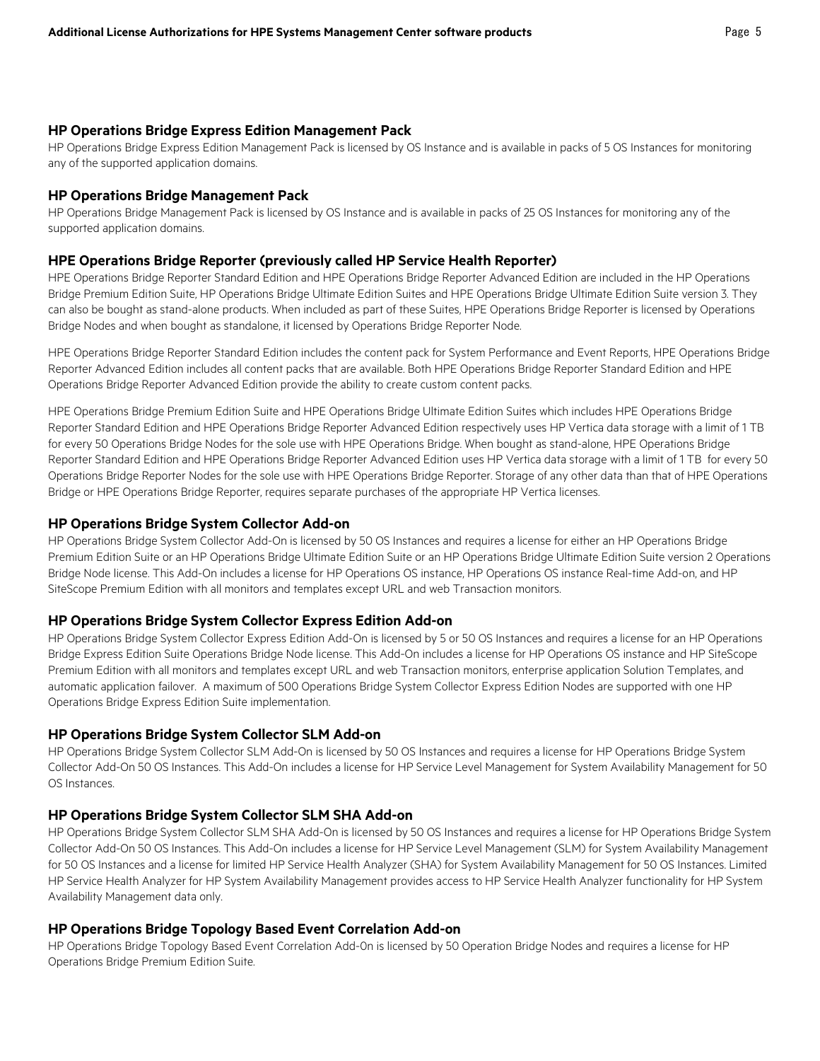## **HP Operations Bridge Express Edition Management Pack**

HP Operations Bridge Express Edition Management Pack is licensed by OS Instance and is available in packs of 5 OS Instances for monitoring any of the supported application domains.

## **HP Operations Bridge Management Pack**

HP Operations Bridge Management Pack is licensed by OS Instance and is available in packs of 25 OS Instances for monitoring any of the supported application domains.

## **HPE Operations Bridge Reporter (previously called HP Service Health Reporter)**

HPE Operations Bridge Reporter Standard Edition and HPE Operations Bridge Reporter Advanced Edition are included in the HP Operations Bridge Premium Edition Suite, HP Operations Bridge Ultimate Edition Suites and HPE Operations Bridge Ultimate Edition Suite version 3. They can also be bought as stand-alone products. When included as part of these Suites, HPE Operations Bridge Reporter is licensed by Operations Bridge Nodes and when bought as standalone, it licensed by Operations Bridge Reporter Node.

HPE Operations Bridge Reporter Standard Edition includes the content pack for System Performance and Event Reports, HPE Operations Bridge Reporter Advanced Edition includes all content packs that are available. Both HPE Operations Bridge Reporter Standard Edition and HPE Operations Bridge Reporter Advanced Edition provide the ability to create custom content packs.

HPE Operations Bridge Premium Edition Suite and HPE Operations Bridge Ultimate Edition Suites which includes HPE Operations Bridge Reporter Standard Edition and HPE Operations Bridge Reporter Advanced Edition respectively uses HP Vertica data storage with a limit of 1 TB for every 50 Operations Bridge Nodes for the sole use with HPE Operations Bridge. When bought as stand-alone, HPE Operations Bridge Reporter Standard Edition and HPE Operations Bridge Reporter Advanced Edition uses HP Vertica data storage with a limit of 1 TB for every 50 Operations Bridge Reporter Nodes for the sole use with HPE Operations Bridge Reporter. Storage of any other data than that of HPE Operations Bridge or HPE Operations Bridge Reporter, requires separate purchases of the appropriate HP Vertica licenses.

## **HP Operations Bridge System Collector Add-on**

HP Operations Bridge System Collector Add-On is licensed by 50 OS Instances and requires a license for either an HP Operations Bridge Premium Edition Suite or an HP Operations Bridge Ultimate Edition Suite or an HP Operations Bridge Ultimate Edition Suite version 2 Operations Bridge Node license. This Add-On includes a license for HP Operations OS instance, HP Operations OS instance Real-time Add-on, and HP SiteScope Premium Edition with all monitors and templates except URL and web Transaction monitors.

## **HP Operations Bridge System Collector Express Edition Add-on**

HP Operations Bridge System Collector Express Edition Add-On is licensed by 5 or 50 OS Instances and requires a license for an HP Operations Bridge Express Edition Suite Operations Bridge Node license. This Add-On includes a license for HP Operations OS instance and HP SiteScope Premium Edition with all monitors and templates except URL and web Transaction monitors, enterprise application Solution Templates, and automatic application failover. A maximum of 500 Operations Bridge System Collector Express Edition Nodes are supported with one HP Operations Bridge Express Edition Suite implementation.

## **HP Operations Bridge System Collector SLM Add-on**

HP Operations Bridge System Collector SLM Add-On is licensed by 50 OS Instances and requires a license for HP Operations Bridge System Collector Add-On 50 OS Instances. This Add-On includes a license for HP Service Level Management for System Availability Management for 50 OS Instances.

## **HP Operations Bridge System Collector SLM SHA Add-on**

HP Operations Bridge System Collector SLM SHA Add-On is licensed by 50 OS Instances and requires a license for HP Operations Bridge System Collector Add-On 50 OS Instances. This Add-On includes a license for HP Service Level Management (SLM) for System Availability Management for 50 OS Instances and a license for limited HP Service Health Analyzer (SHA) for System Availability Management for 50 OS Instances. Limited HP Service Health Analyzer for HP System Availability Management provides access to HP Service Health Analyzer functionality for HP System Availability Management data only.

## **HP Operations Bridge Topology Based Event Correlation Add-on**

HP Operations Bridge Topology Based Event Correlation Add-0n is licensed by 50 Operation Bridge Nodes and requires a license for HP Operations Bridge Premium Edition Suite.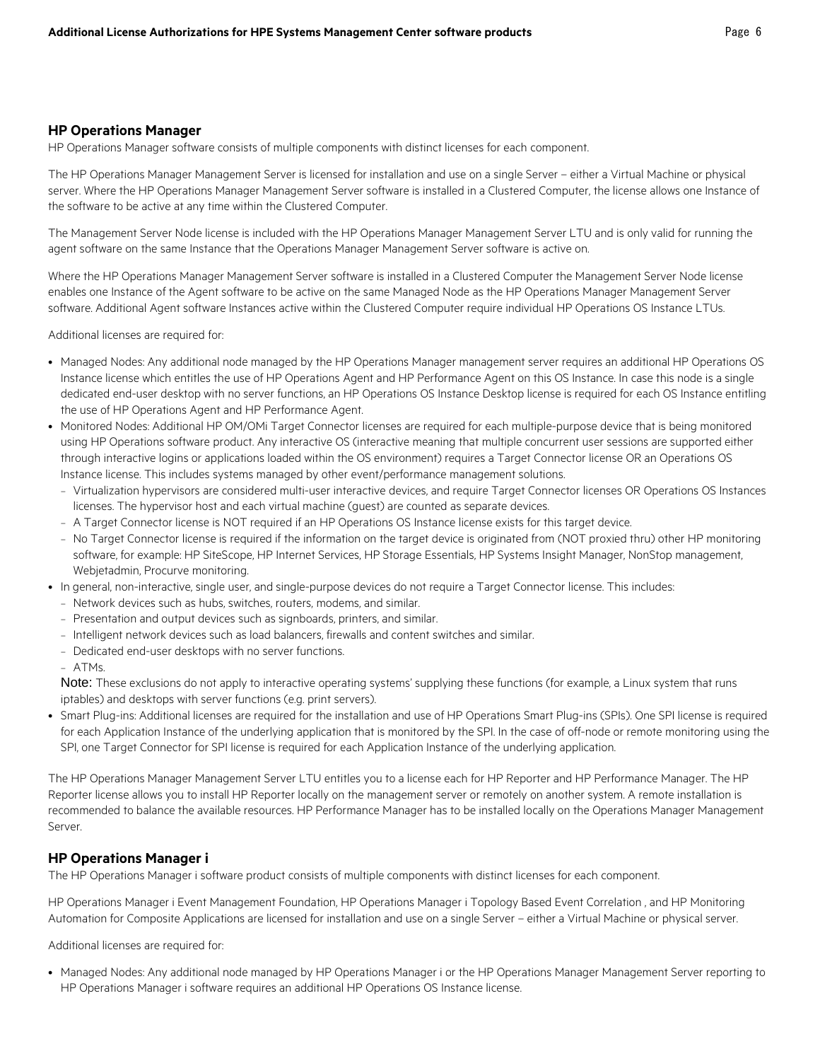## **HP Operations Manager**

HP Operations Manager software consists of multiple components with distinct licenses for each component.

The HP Operations Manager Management Server is licensed for installation and use on a single Server – either a Virtual Machine or physical server. Where the HP Operations Manager Management Server software is installed in a Clustered Computer, the license allows one Instance of the software to be active at any time within the Clustered Computer.

The Management Server Node license is included with the HP Operations Manager Management Server LTU and is only valid for running the agent software on the same Instance that the Operations Manager Management Server software is active on.

Where the HP Operations Manager Management Server software is installed in a Clustered Computer the Management Server Node license enables one Instance of the Agent software to be active on the same Managed Node as the HP Operations Manager Management Server software. Additional Agent software Instances active within the Clustered Computer require individual HP Operations OS Instance LTUs.

Additional licenses are required for:

- Managed Nodes: Any additional node managed by the HP Operations Manager management server requires an additional HP Operations OS Instance license which entitles the use of HP Operations Agent and HP Performance Agent on this OS Instance. In case this node is a single dedicated end-user desktop with no server functions, an HP Operations OS Instance Desktop license is required for each OS Instance entitling the use of HP Operations Agent and HP Performance Agent.
- Monitored Nodes: Additional HP OM/OMi Target Connector licenses are required for each multiple-purpose device that is being monitored using HP Operations software product. Any interactive OS (interactive meaning that multiple concurrent user sessions are supported either through interactive logins or applications loaded within the OS environment) requires a Target Connector license OR an Operations OS Instance license. This includes systems managed by other event/performance management solutions.
	- Virtualization hypervisors are considered multi-user interactive devices, and require Target Connector licenses OR Operations OS Instances licenses. The hypervisor host and each virtual machine (guest) are counted as separate devices.
	- A Target Connector license is NOT required if an HP Operations OS Instance license exists for this target device.
	- No Target Connector license is required if the information on the target device is originated from (NOT proxied thru) other HP monitoring software, for example: HP SiteScope, HP Internet Services, HP Storage Essentials, HP Systems Insight Manager, NonStop management, Webjetadmin, Procurve monitoring.
- In general, non-interactive, single user, and single-purpose devices do not require a Target Connector license. This includes:
	- Network devices such as hubs, switches, routers, modems, and similar.
	- Presentation and output devices such as signboards, printers, and similar.
	- Intelligent network devices such as load balancers, firewalls and content switches and similar.
	- Dedicated end-user desktops with no server functions.
	- ATMs.

Note: These exclusions do not apply to interactive operating systems' supplying these functions (for example, a Linux system that runs iptables) and desktops with server functions (e.g. print servers).

• Smart Plug-ins: Additional licenses are required for the installation and use of HP Operations Smart Plug-ins (SPIs). One SPI license is required for each Application Instance of the underlying application that is monitored by the SPI. In the case of off-node or remote monitoring using the SPI, one Target Connector for SPI license is required for each Application Instance of the underlying application.

The HP Operations Manager Management Server LTU entitles you to a license each for HP Reporter and HP Performance Manager. The HP Reporter license allows you to install HP Reporter locally on the management server or remotely on another system. A remote installation is recommended to balance the available resources. HP Performance Manager has to be installed locally on the Operations Manager Management Server.

## **HP Operations Manager i**

The HP Operations Manager i software product consists of multiple components with distinct licenses for each component.

HP Operations Manager i Event Management Foundation, HP Operations Manager i Topology Based Event Correlation , and HP Monitoring Automation for Composite Applications are licensed for installation and use on a single Server – either a Virtual Machine or physical server.

Additional licenses are required for:

• Managed Nodes: Any additional node managed by HP Operations Manager i or the HP Operations Manager Management Server reporting to HP Operations Manager i software requires an additional HP Operations OS Instance license.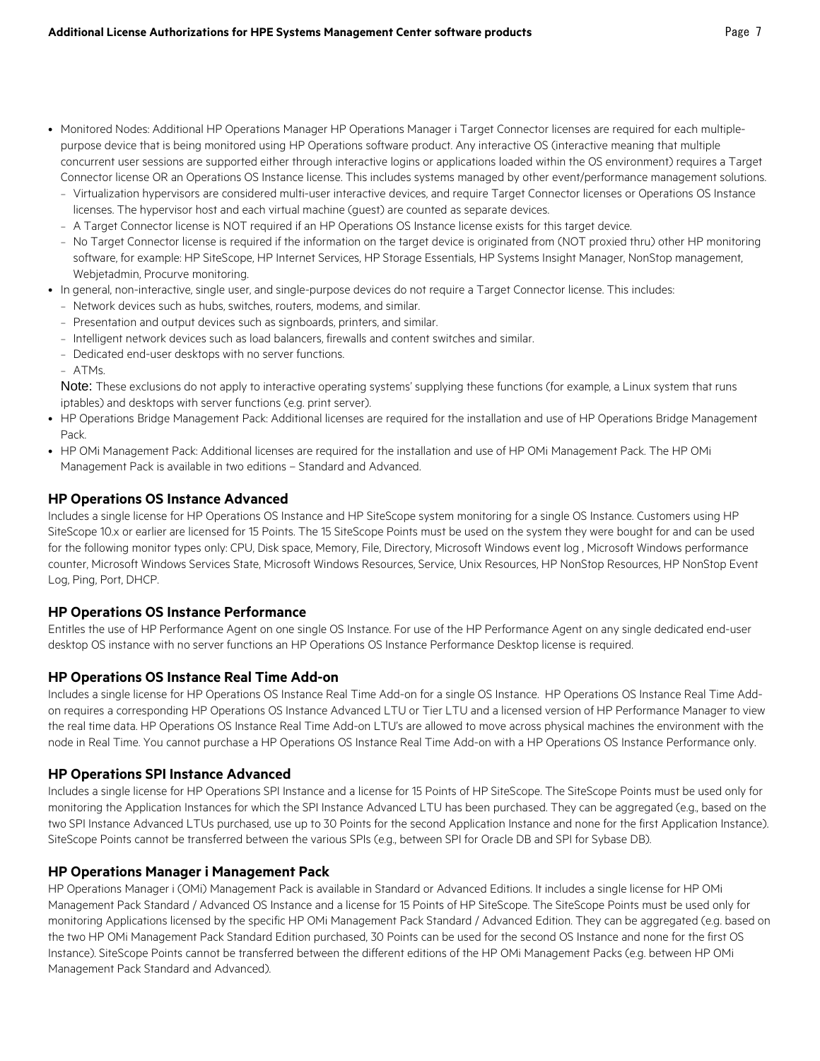- Monitored Nodes: Additional HP Operations Manager HP Operations Manager i Target Connector licenses are required for each multiplepurpose device that is being monitored using HP Operations software product. Any interactive OS (interactive meaning that multiple concurrent user sessions are supported either through interactive logins or applications loaded within the OS environment) requires a Target Connector license OR an Operations OS Instance license. This includes systems managed by other event/performance management solutions.
	- Virtualization hypervisors are considered multi-user interactive devices, and require Target Connector licenses or Operations OS Instance licenses. The hypervisor host and each virtual machine (guest) are counted as separate devices.
	- A Target Connector license is NOT required if an HP Operations OS Instance license exists for this target device.
	- No Target Connector license is required if the information on the target device is originated from (NOT proxied thru) other HP monitoring software, for example: HP SiteScope, HP Internet Services, HP Storage Essentials, HP Systems Insight Manager, NonStop management, Webjetadmin, Procurve monitoring.
- In general, non-interactive, single user, and single-purpose devices do not require a Target Connector license. This includes:
	- Network devices such as hubs, switches, routers, modems, and similar.
	- Presentation and output devices such as signboards, printers, and similar.
	- Intelligent network devices such as load balancers, firewalls and content switches and similar.
	- Dedicated end-user desktops with no server functions.
	- ATMs.

Note: These exclusions do not apply to interactive operating systems' supplying these functions (for example, a Linux system that runs iptables) and desktops with server functions (e.g. print server).

- HP Operations Bridge Management Pack: Additional licenses are required for the installation and use of HP Operations Bridge Management Pack.
- HP OMi Management Pack: Additional licenses are required for the installation and use of HP OMi Management Pack. The HP OMi Management Pack is available in two editions – Standard and Advanced.

#### **HP Operations OS Instance Advanced**

Includes a single license for HP Operations OS Instance and HP SiteScope system monitoring for a single OS Instance. Customers using HP SiteScope 10.x or earlier are licensed for 15 Points. The 15 SiteScope Points must be used on the system they were bought for and can be used for the following monitor types only: CPU, Disk space, Memory, File, Directory, Microsoft Windows event log , Microsoft Windows performance counter, Microsoft Windows Services State, Microsoft Windows Resources, Service, Unix Resources, HP NonStop Resources, HP NonStop Event Log, Ping, Port, DHCP.

## **HP Operations OS Instance Performance**

Entitles the use of HP Performance Agent on one single OS Instance. For use of the HP Performance Agent on any single dedicated end-user desktop OS instance with no server functions an HP Operations OS Instance Performance Desktop license is required.

## **HP Operations OS Instance Real Time Add-on**

Includes a single license for HP Operations OS Instance Real Time Add-on for a single OS Instance. HP Operations OS Instance Real Time Addon requires a corresponding HP Operations OS Instance Advanced LTU or Tier LTU and a licensed version of HP Performance Manager to view the real time data. HP Operations OS Instance Real Time Add-on LTU's are allowed to move across physical machines the environment with the node in Real Time. You cannot purchase a HP Operations OS Instance Real Time Add-on with a HP Operations OS Instance Performance only.

#### **HP Operations SPI Instance Advanced**

Includes a single license for HP Operations SPI Instance and a license for 15 Points of HP SiteScope. The SiteScope Points must be used only for monitoring the Application Instances for which the SPI Instance Advanced LTU has been purchased. They can be aggregated (e.g., based on the two SPI Instance Advanced LTUs purchased, use up to 30 Points for the second Application Instance and none for the first Application Instance). SiteScope Points cannot be transferred between the various SPIs (e.g., between SPI for Oracle DB and SPI for Sybase DB).

#### **HP Operations Manager i Management Pack**

HP Operations Manager i (OMi) Management Pack is available in Standard or Advanced Editions. It includes a single license for HP OMi Management Pack Standard / Advanced OS Instance and a license for 15 Points of HP SiteScope. The SiteScope Points must be used only for monitoring Applications licensed by the specific HP OMi Management Pack Standard / Advanced Edition. They can be aggregated (e.g. based on the two HP OMi Management Pack Standard Edition purchased, 30 Points can be used for the second OS Instance and none for the first OS Instance). SiteScope Points cannot be transferred between the different editions of the HP OMi Management Packs (e.g. between HP OMi Management Pack Standard and Advanced).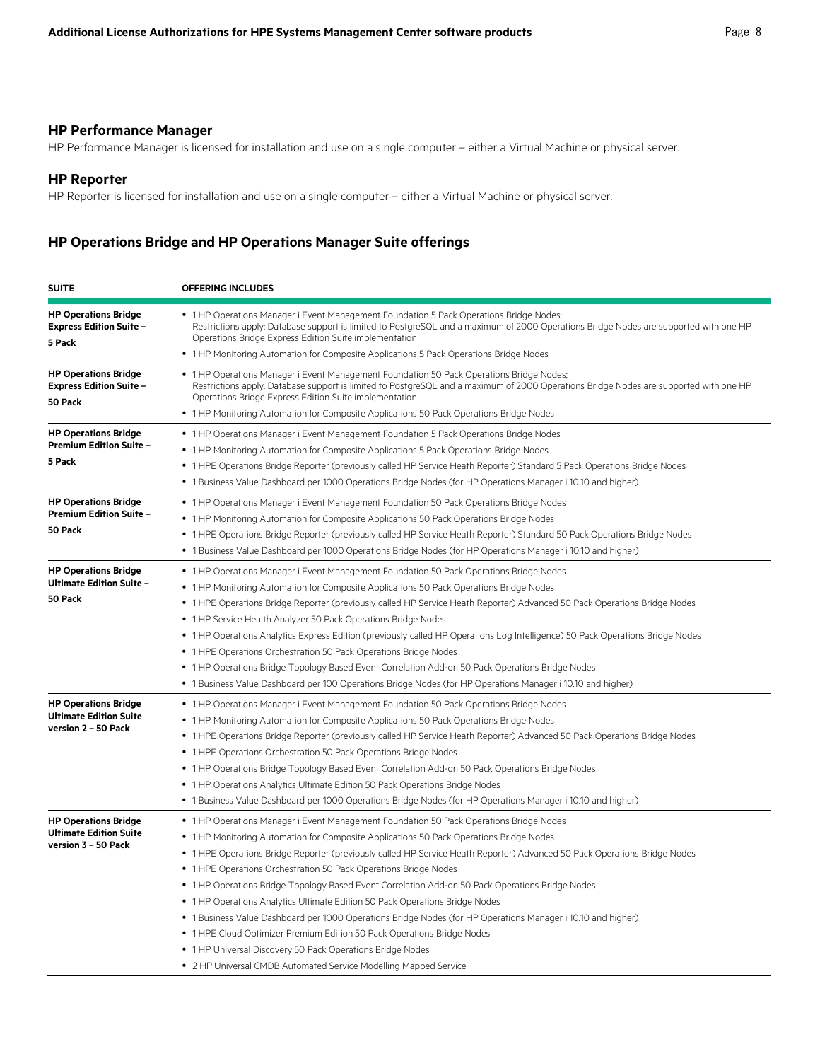## **HP Performance Manager**

HP Performance Manager is licensed for installation and use on a single computer – either a Virtual Machine or physical server.

## **HP Reporter**

HP Reporter is licensed for installation and use on a single computer – either a Virtual Machine or physical server.

# **HP Operations Bridge and HP Operations Manager Suite offerings**

| <b>SUITE</b>                                                                        | <b>OFFERING INCLUDES</b>                                                                                                                                                                                                                                                                                                                                                                                                                                                                                                                                                                                                                                                                                                                                                                                                                                                                             |
|-------------------------------------------------------------------------------------|------------------------------------------------------------------------------------------------------------------------------------------------------------------------------------------------------------------------------------------------------------------------------------------------------------------------------------------------------------------------------------------------------------------------------------------------------------------------------------------------------------------------------------------------------------------------------------------------------------------------------------------------------------------------------------------------------------------------------------------------------------------------------------------------------------------------------------------------------------------------------------------------------|
| <b>HP Operations Bridge</b><br><b>Express Edition Suite -</b><br>5 Pack             | • 1 HP Operations Manager i Event Management Foundation 5 Pack Operations Bridge Nodes;<br>Restrictions apply: Database support is limited to PostgreSQL and a maximum of 2000 Operations Bridge Nodes are supported with one HP<br>Operations Bridge Express Edition Suite implementation                                                                                                                                                                                                                                                                                                                                                                                                                                                                                                                                                                                                           |
|                                                                                     | • 1 HP Monitoring Automation for Composite Applications 5 Pack Operations Bridge Nodes                                                                                                                                                                                                                                                                                                                                                                                                                                                                                                                                                                                                                                                                                                                                                                                                               |
| <b>HP Operations Bridge</b><br><b>Express Edition Suite -</b><br>50 Pack            | • 1 HP Operations Manager i Event Management Foundation 50 Pack Operations Bridge Nodes;<br>Restrictions apply: Database support is limited to PostgreSQL and a maximum of 2000 Operations Bridge Nodes are supported with one HP<br>Operations Bridge Express Edition Suite implementation                                                                                                                                                                                                                                                                                                                                                                                                                                                                                                                                                                                                          |
|                                                                                     | • 1 HP Monitoring Automation for Composite Applications 50 Pack Operations Bridge Nodes                                                                                                                                                                                                                                                                                                                                                                                                                                                                                                                                                                                                                                                                                                                                                                                                              |
| <b>HP Operations Bridge</b><br><b>Premium Edition Suite -</b><br>5 Pack             | • 1 HP Operations Manager i Event Management Foundation 5 Pack Operations Bridge Nodes<br>• 1 HP Monitoring Automation for Composite Applications 5 Pack Operations Bridge Nodes<br>• 1 HPE Operations Bridge Reporter (previously called HP Service Heath Reporter) Standard 5 Pack Operations Bridge Nodes<br>• 1 Business Value Dashboard per 1000 Operations Bridge Nodes (for HP Operations Manager i 10.10 and higher)                                                                                                                                                                                                                                                                                                                                                                                                                                                                         |
| <b>HP Operations Bridge</b><br><b>Premium Edition Suite -</b><br>50 Pack            | • 1 HP Operations Manager i Event Management Foundation 50 Pack Operations Bridge Nodes<br>• 1 HP Monitoring Automation for Composite Applications 50 Pack Operations Bridge Nodes<br>• 1 HPE Operations Bridge Reporter (previously called HP Service Heath Reporter) Standard 50 Pack Operations Bridge Nodes<br>• 1 Business Value Dashboard per 1000 Operations Bridge Nodes (for HP Operations Manager i 10.10 and higher)                                                                                                                                                                                                                                                                                                                                                                                                                                                                      |
| <b>HP Operations Bridge</b><br><b>Ultimate Edition Suite -</b><br>50 Pack           | • 1 HP Operations Manager i Event Management Foundation 50 Pack Operations Bridge Nodes<br>• 1 HP Monitoring Automation for Composite Applications 50 Pack Operations Bridge Nodes<br>• 1 HPE Operations Bridge Reporter (previously called HP Service Heath Reporter) Advanced 50 Pack Operations Bridge Nodes<br>• 1 HP Service Health Analyzer 50 Pack Operations Bridge Nodes<br>• 1 HP Operations Analytics Express Edition (previously called HP Operations Log Intelligence) 50 Pack Operations Bridge Nodes<br>• 1 HPE Operations Orchestration 50 Pack Operations Bridge Nodes<br>• 1 HP Operations Bridge Topology Based Event Correlation Add-on 50 Pack Operations Bridge Nodes<br>• 1 Business Value Dashboard per 100 Operations Bridge Nodes (for HP Operations Manager i 10.10 and higher)                                                                                           |
| <b>HP Operations Bridge</b><br><b>Ultimate Edition Suite</b><br>version 2 - 50 Pack | • 1 HP Operations Manager i Event Management Foundation 50 Pack Operations Bridge Nodes<br>• 1 HP Monitoring Automation for Composite Applications 50 Pack Operations Bridge Nodes<br>• 1 HPE Operations Bridge Reporter (previously called HP Service Heath Reporter) Advanced 50 Pack Operations Bridge Nodes<br>• 1 HPE Operations Orchestration 50 Pack Operations Bridge Nodes<br>• 1 HP Operations Bridge Topology Based Event Correlation Add-on 50 Pack Operations Bridge Nodes<br>• 1 HP Operations Analytics Ultimate Edition 50 Pack Operations Bridge Nodes<br>• 1 Business Value Dashboard per 1000 Operations Bridge Nodes (for HP Operations Manager i 10.10 and higher)                                                                                                                                                                                                              |
| <b>HP Operations Bridge</b><br><b>Ultimate Edition Suite</b><br>version 3 - 50 Pack | • 1 HP Operations Manager i Event Management Foundation 50 Pack Operations Bridge Nodes<br>• 1 HP Monitoring Automation for Composite Applications 50 Pack Operations Bridge Nodes<br>• 1 HPE Operations Bridge Reporter (previously called HP Service Heath Reporter) Advanced 50 Pack Operations Bridge Nodes<br>• 1 HPE Operations Orchestration 50 Pack Operations Bridge Nodes<br>• 1 HP Operations Bridge Topology Based Event Correlation Add-on 50 Pack Operations Bridge Nodes<br>• 1 HP Operations Analytics Ultimate Edition 50 Pack Operations Bridge Nodes<br>• 1 Business Value Dashboard per 1000 Operations Bridge Nodes (for HP Operations Manager i 10.10 and higher)<br>• 1 HPE Cloud Optimizer Premium Edition 50 Pack Operations Bridge Nodes<br>• 1 HP Universal Discovery 50 Pack Operations Bridge Nodes<br>• 2 HP Universal CMDB Automated Service Modelling Mapped Service |